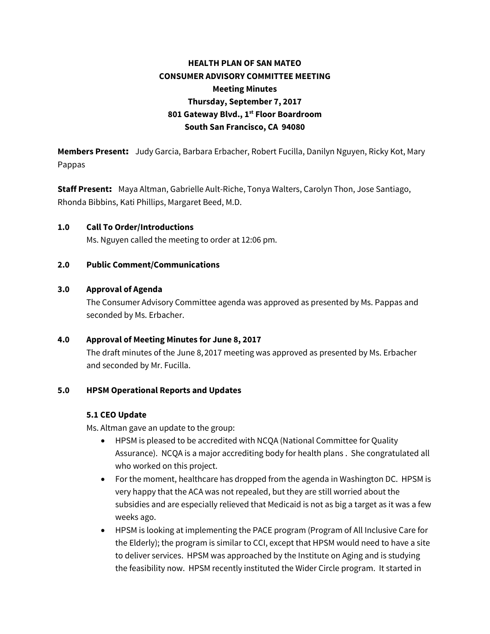# **HEALTH PLAN OF SAN MATEO CONSUMER ADVISORY COMMITTEE MEETING Meeting Minutes Thursday, September 7, 2017 801 Gateway Blvd., 1st Floor Boardroom South San Francisco, CA 94080**

**Members Present**: Judy Garcia, Barbara Erbacher, Robert Fucilla, Danilyn Nguyen, Ricky Kot, Mary Pappas

**Staff Present**: Maya Altman, Gabrielle Ault-Riche, Tonya Walters, Carolyn Thon, Jose Santiago, Rhonda Bibbins, Kati Phillips, Margaret Beed, M.D.

**1.0 Call To Order/Introductions** Ms. Nguyen called the meeting to order at 12:06 pm.

### **2.0 Public Comment/Communications**

### **3.0 Approval of Agenda**

The Consumer Advisory Committee agenda was approved as presented by Ms. Pappas and seconded by Ms. Erbacher.

### **4.0 Approval of Meeting Minutes for June 8, 2017**

The draft minutes of the June 8,2017 meeting was approved as presented by Ms. Erbacher and seconded by Mr. Fucilla.

### **5.0 HPSM Operational Reports and Updates**

### **5.1 CEO Update**

Ms. Altman gave an update to the group:

- HPSM is pleased to be accredited with NCQA (National Committee for Quality Assurance). NCQA is a major accrediting body for health plans . She congratulated all who worked on this project.
- For the moment, healthcare has dropped from the agenda in Washington DC. HPSM is very happy that the ACA was not repealed, but they are still worried about the subsidies and are especially relieved that Medicaid is not as big a target as it was a few weeks ago.
- HPSM is looking at implementing the PACE program (Program of All Inclusive Care for the Elderly); the program is similar to CCI, except that HPSM would need to have a site to deliver services. HPSM was approached by the Institute on Aging and is studying the feasibility now. HPSM recently instituted the Wider Circle program. It started in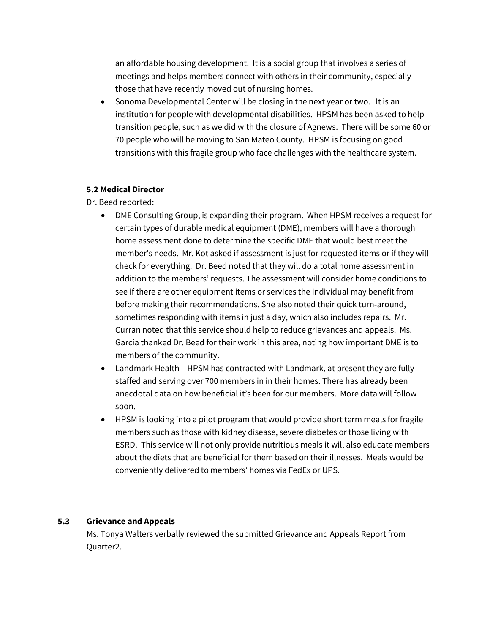an affordable housing development. It is a social group that involves a series of meetings and helps members connect with others in their community, especially those that have recently moved out of nursing homes.

• Sonoma Developmental Center will be closing in the next year or two. It is an institution for people with developmental disabilities. HPSM has been asked to help transition people, such as we did with the closure of Agnews. There will be some 60 or 70 people who will be moving to San Mateo County. HPSM is focusing on good transitions with this fragile group who face challenges with the healthcare system.

# **5.2 Medical Director**

Dr. Beed reported:

- DME Consulting Group, is expanding their program. When HPSM receives a request for certain types of durable medical equipment (DME), members will have a thorough home assessment done to determine the specific DME that would best meet the member's needs. Mr. Kot asked if assessment is just for requested items or if they will check for everything. Dr. Beed noted that they will do a total home assessment in addition to the members' requests. The assessment will consider home conditions to see if there are other equipment items or services the individual may benefit from before making their recommendations. She also noted their quick turn-around, sometimes responding with items in just a day, which also includes repairs. Mr. Curran noted that this service should help to reduce grievances and appeals. Ms. Garcia thanked Dr. Beed for their work in this area, noting how important DME is to members of the community.
- Landmark Health HPSM has contracted with Landmark, at present they are fully staffed and serving over 700 members in in their homes. There has already been anecdotal data on how beneficial it's been for our members. More data will follow soon.
- HPSM is looking into a pilot program that would provide short term meals for fragile members such as those with kidney disease, severe diabetes or those living with ESRD. This service will not only provide nutritious meals it will also educate members about the diets that are beneficial for them based on their illnesses. Meals would be conveniently delivered to members' homes via FedEx or UPS.

### **5.3 Grievance and Appeals**

Ms. Tonya Walters verbally reviewed the submitted Grievance and Appeals Report from Quarter2.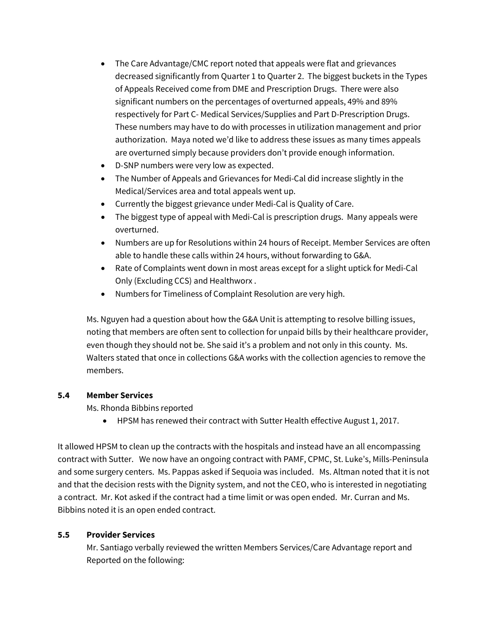- The Care Advantage/CMC report noted that appeals were flat and grievances decreased significantly from Quarter 1 to Quarter 2. The biggest buckets in the Types of Appeals Received come from DME and Prescription Drugs. There were also significant numbers on the percentages of overturned appeals, 49% and 89% respectively for Part C- Medical Services/Supplies and Part D-Prescription Drugs. These numbers may have to do with processes in utilization management and prior authorization. Maya noted we'd like to address these issues as many times appeals are overturned simply because providers don't provide enough information.
- D-SNP numbers were very low as expected.
- The Number of Appeals and Grievances for Medi-Cal did increase slightly in the Medical/Services area and total appeals went up.
- Currently the biggest grievance under Medi-Cal is Quality of Care.
- The biggest type of appeal with Medi-Cal is prescription drugs. Many appeals were overturned.
- Numbers are up for Resolutions within 24 hours of Receipt. Member Services are often able to handle these calls within 24 hours, without forwarding to G&A.
- Rate of Complaints went down in most areas except for a slight uptick for Medi-Cal Only (Excluding CCS) and Healthworx .
- Numbers for Timeliness of Complaint Resolution are very high.

Ms. Nguyen had a question about how the G&A Unit is attempting to resolve billing issues, noting that members are often sent to collection for unpaid bills by their healthcare provider, even though they should not be. She said it's a problem and not only in this county. Ms. Walters stated that once in collections G&A works with the collection agencies to remove the members.

# **5.4 Member Services**

Ms. Rhonda Bibbins reported

• HPSM has renewed their contract with Sutter Health effective August 1, 2017.

It allowed HPSM to clean up the contracts with the hospitals and instead have an all encompassing contract with Sutter. We now have an ongoing contract with PAMF, CPMC, St. Luke's, Mills-Peninsula and some surgery centers. Ms. Pappas asked if Sequoia was included. Ms. Altman noted that it is not and that the decision rests with the Dignity system, and not the CEO, who is interested in negotiating a contract. Mr. Kot asked if the contract had a time limit or was open ended. Mr. Curran and Ms. Bibbins noted it is an open ended contract.

# **5.5 Provider Services**

Mr. Santiago verbally reviewed the written Members Services/Care Advantage report and Reported on the following: